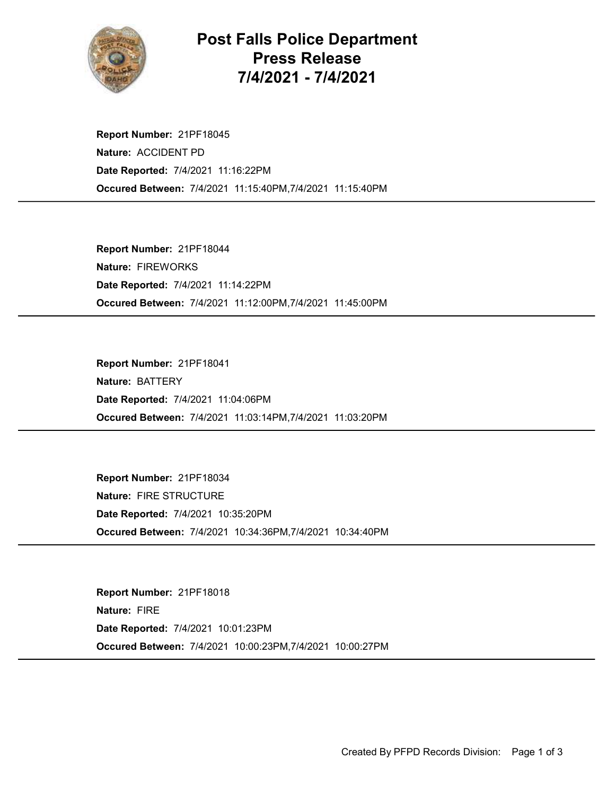

## Post Falls Police Department Press Release 7/4/2021 - 7/4/2021

Occured Between: 7/4/2021 11:15:40PM,7/4/2021 11:15:40PM Report Number: 21PF18045 Nature: ACCIDENT PD Date Reported: 7/4/2021 11:16:22PM

Occured Between: 7/4/2021 11:12:00PM,7/4/2021 11:45:00PM Report Number: 21PF18044 Nature: FIREWORKS Date Reported: 7/4/2021 11:14:22PM

Occured Between: 7/4/2021 11:03:14PM,7/4/2021 11:03:20PM Report Number: 21PF18041 Nature: BATTERY Date Reported: 7/4/2021 11:04:06PM

Occured Between: 7/4/2021 10:34:36PM,7/4/2021 10:34:40PM Report Number: 21PF18034 Nature: FIRE STRUCTURE Date Reported: 7/4/2021 10:35:20PM

Occured Between: 7/4/2021 10:00:23PM,7/4/2021 10:00:27PM Report Number: 21PF18018 Nature: FIRE Date Reported: 7/4/2021 10:01:23PM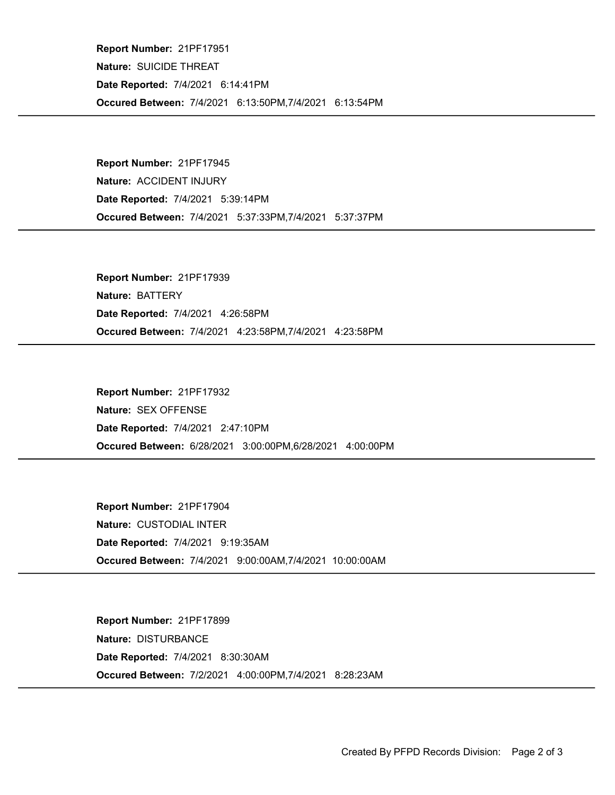Occured Between: 7/4/2021 6:13:50PM,7/4/2021 6:13:54PM Report Number: 21PF17951 Nature: SUICIDE THREAT Date Reported: 7/4/2021 6:14:41PM

Occured Between: 7/4/2021 5:37:33PM,7/4/2021 5:37:37PM Report Number: 21PF17945 Nature: ACCIDENT INJURY Date Reported: 7/4/2021 5:39:14PM

Occured Between: 7/4/2021 4:23:58PM,7/4/2021 4:23:58PM Report Number: 21PF17939 Nature: BATTERY Date Reported: 7/4/2021 4:26:58PM

Occured Between: 6/28/2021 3:00:00PM,6/28/2021 4:00:00PM Report Number: 21PF17932 Nature: SEX OFFENSE Date Reported: 7/4/2021 2:47:10PM

Occured Between: 7/4/2021 9:00:00AM,7/4/2021 10:00:00AM Report Number: 21PF17904 Nature: CUSTODIAL INTER Date Reported: 7/4/2021 9:19:35AM

Occured Between: 7/2/2021 4:00:00PM,7/4/2021 8:28:23AM Report Number: 21PF17899 Nature: DISTURBANCE Date Reported: 7/4/2021 8:30:30AM